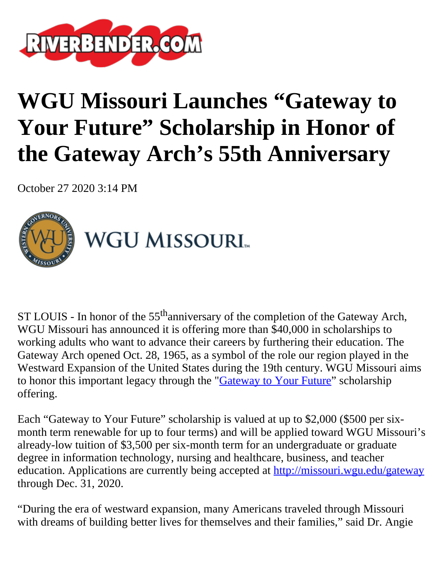

## **WGU Missouri Launches "Gateway to Your Future" Scholarship in Honor of the Gateway Arch's 55th Anniversary**

October 27 2020 3:14 PM



ST LOUIS - In honor of the  $55<sup>th</sup>$ anniversary of the completion of the Gateway Arch, WGU Missouri has announced it is offering more than \$40,000 in scholarships to working adults who want to advance their careers by furthering their education. The Gateway Arch opened Oct. 28, 1965, as a symbol of the role our region played in the Westward Expansion of the United States during the 19th century. WGU Missouri aims to honor this important legacy through the "*Gateway to Your Future*" scholarship offering.

Each "Gateway to Your Future" scholarship is valued at up to \$2,000 (\$500 per sixmonth term renewable for up to four terms) and will be applied toward WGU Missouri's already-low tuition of \$3,500 per six-month term for an undergraduate or graduate degree in information technology, nursing and healthcare, business, and teacher education. Applications are currently being accepted at <http://missouri.wgu.edu/gateway> through Dec. 31, 2020.

"During the era of westward expansion, many Americans traveled through Missouri with dreams of building better lives for themselves and their families," said Dr. Angie